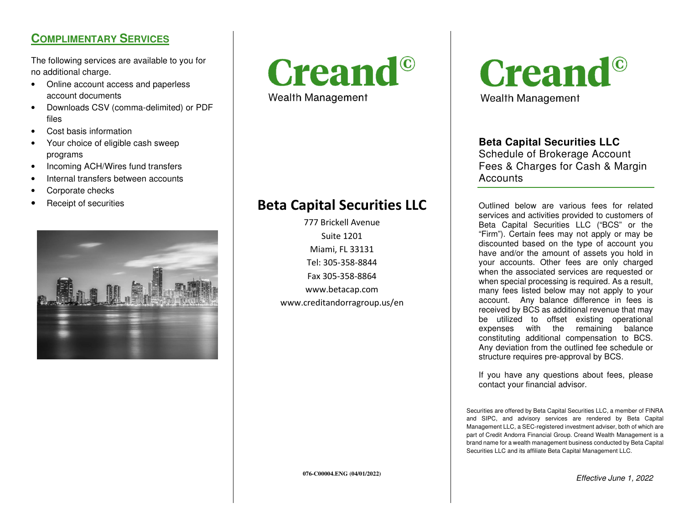## **COMPLIMENTARY SERVICES**

The following services are available to you for no additional charge.

- Online account access and paperless account documents
- Downloads CSV (comma-delimited) or PDF files
- Cost basis information
- Your choice of eligible cash sweep programs
- Incoming ACH/Wires fund transfers
- Internal transfers between accounts
- Corporate checks
- •





Wealth Management

## Receipt of securities **Beta Capital Securities LLC**

777 Brickell Avenue Suite 1201 Miami, FL 33131 Tel: 305-358-8844 Fax 305-358-8864 www.betacap.com www.creditandorragroup.us/en **Creand**<sup>©</sup> Wealth Management

## **Beta Capital Securities LLC**

 Schedule of Brokerage Account Fees & Charges for Cash & Margin **Accounts** 

Outlined below are various fees for related services and activities provided to customers of Beta Capital Securities LLC ("BCS" or the "Firm"). Certain fees may not apply or may be discounted based on the type of account you have and/or the amount of assets you hold in your accounts. Other fees are only charged when the associated services are requested or when special processing is required. As a result, many fees listed below may not apply to your account. Any balance difference in fees is received by BCS as additional revenue that may be utilized to offset existing operational expenses with the remaining balance constituting additional compensation to BCS. Any deviation from the outlined fee schedule or structure requires pre-approval by BCS.

If you have any questions about fees, please contact your financial advisor.

Securities are offered by Beta Capital Securities LLC, a member of FINRA and SIPC, and advisory services are rendered by Beta Capital Management LLC, a SEC-registered investment adviser, both of which are part of Credit Andorra Financial Group. Creand Wealth Management is a brand name for a wealth management business conducted by Beta Capital Securities LLC and its affiliate Beta Capital Management LLC.

**076-C00004.ENG (04/01/2022)**